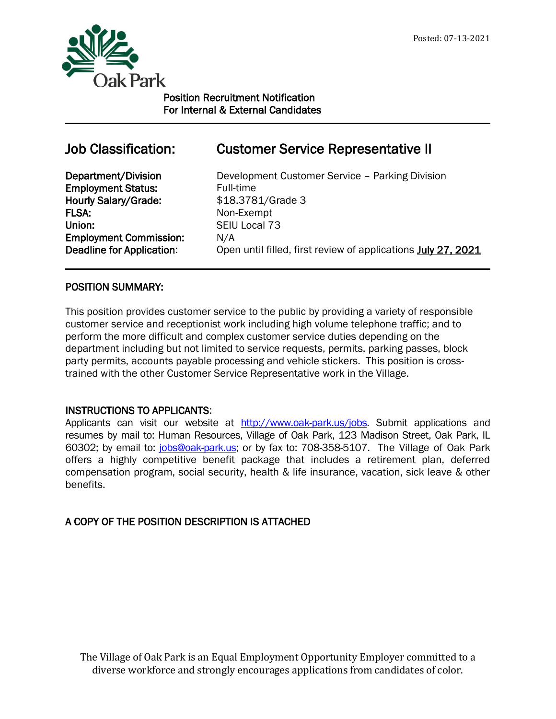

j

Position Recruitment Notification For Internal & External Candidates

# Employment Status: Full-time Hourly Salary/Grade: \$18.3781/Grade 3 FLSA: Non-Exempt Union: SEIU Local 73 Employment Commission: N/A

# Job Classification: Customer Service Representative II

Department/Division Development Customer Service – Parking Division Deadline for Application: Open until filled, first review of applications July 27, 2021

# POSITION SUMMARY:

This position provides customer service to the public by providing a variety of responsible customer service and receptionist work including high volume telephone traffic; and to perform the more difficult and complex customer service duties depending on the department including but not limited to service requests, permits, parking passes, block party permits, accounts payable processing and vehicle stickers. This position is crosstrained with the other Customer Service Representative work in the Village.

# INSTRUCTIONS TO APPLICANTS:

Applicants can visit our website at [http://www.oak-park.us/jo](http://www.oak-park.us/)bs. Submit applications and resumes by mail to: Human Resources, Village of Oak Park, 123 Madison Street, Oak Park, IL 60302; by email to: [jobs@oak-park.us;](mailto:jobs@oak-park.us) or by fax to: 708-358-5107. The Village of Oak Park offers a highly competitive benefit package that includes a retirement plan, deferred compensation program, social security, health & life insurance, vacation, sick leave & other benefits.

# A COPY OF THE POSITION DESCRIPTION IS ATTACHED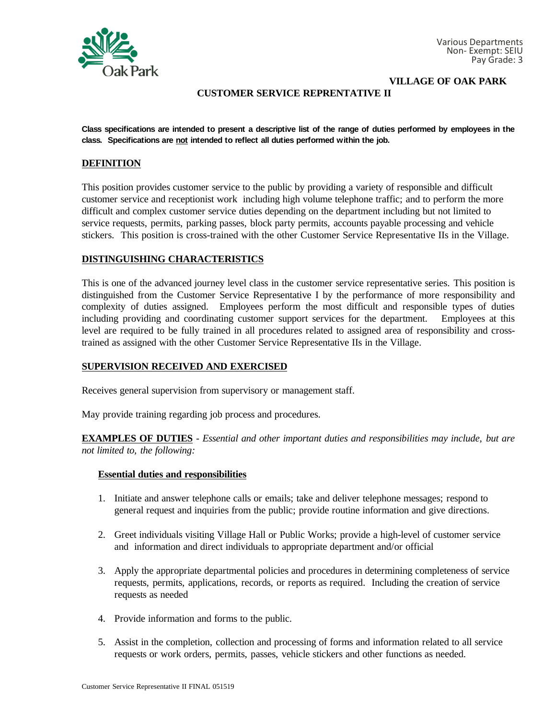

**VILLAGE OF OAK PARK**

### **CUSTOMER SERVICE REPRENTATIVE II**

**Class specifications are intended to present a descriptive list of the range of duties performed by employees in the class. Specifications are not intended to reflect all duties performed within the job.**

#### **DEFINITION**

This position provides customer service to the public by providing a variety of responsible and difficult customer service and receptionist work including high volume telephone traffic; and to perform the more difficult and complex customer service duties depending on the department including but not limited to service requests, permits, parking passes, block party permits, accounts payable processing and vehicle stickers. This position is cross-trained with the other Customer Service Representative IIs in the Village.

#### **DISTINGUISHING CHARACTERISTICS**

This is one of the advanced journey level class in the customer service representative series. This position is distinguished from the Customer Service Representative I by the performance of more responsibility and complexity of duties assigned. Employees perform the most difficult and responsible types of duties including providing and coordinating customer support services for the department. Employees at this level are required to be fully trained in all procedures related to assigned area of responsibility and crosstrained as assigned with the other Customer Service Representative IIs in the Village.

#### **SUPERVISION RECEIVED AND EXERCISED**

Receives general supervision from supervisory or management staff.

May provide training regarding job process and procedures.

**EXAMPLES OF DUTIES** - *Essential and other important duties and responsibilities may include, but are not limited to, the following:*

#### **Essential duties and responsibilities**

- 1. Initiate and answer telephone calls or emails; take and deliver telephone messages; respond to general request and inquiries from the public; provide routine information and give directions.
- 2. Greet individuals visiting Village Hall or Public Works; provide a high-level of customer service and information and direct individuals to appropriate department and/or official
- 3. Apply the appropriate departmental policies and procedures in determining completeness of service requests, permits, applications, records, or reports as required. Including the creation of service requests as needed
- 4. Provide information and forms to the public.
- 5. Assist in the completion, collection and processing of forms and information related to all service requests or work orders, permits, passes, vehicle stickers and other functions as needed.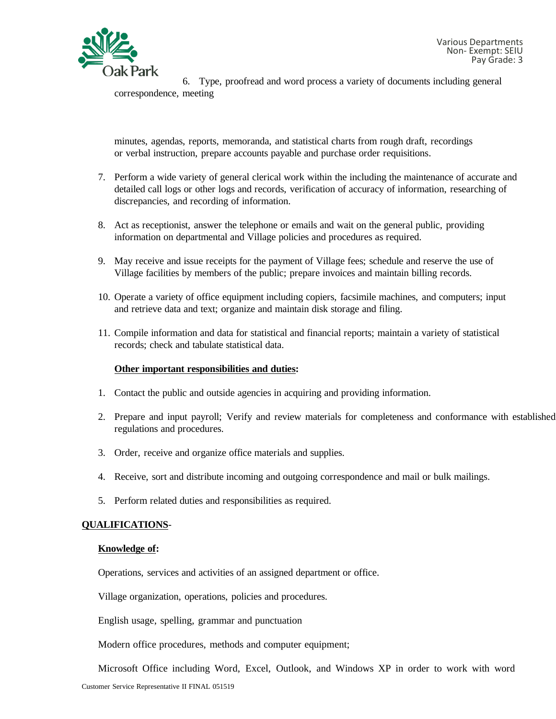

6. Type, proofread and word process a variety of documents including general correspondence, meeting

minutes, agendas, reports, memoranda, and statistical charts from rough draft, recordings or verbal instruction, prepare accounts payable and purchase order requisitions.

- 7. Perform a wide variety of general clerical work within the including the maintenance of accurate and detailed call logs or other logs and records, verification of accuracy of information, researching of discrepancies, and recording of information.
- 8. Act as receptionist, answer the telephone or emails and wait on the general public, providing information on departmental and Village policies and procedures as required.
- 9. May receive and issue receipts for the payment of Village fees; schedule and reserve the use of Village facilities by members of the public; prepare invoices and maintain billing records.
- 10. Operate a variety of office equipment including copiers, facsimile machines, and computers; input and retrieve data and text; organize and maintain disk storage and filing.
- 11. Compile information and data for statistical and financial reports; maintain a variety of statistical records; check and tabulate statistical data.

## **Other important responsibilities and duties:**

- 1. Contact the public and outside agencies in acquiring and providing information.
- 2. Prepare and input payroll; Verify and review materials for completeness and conformance with established regulations and procedures.
- 3. Order, receive and organize office materials and supplies.
- 4. Receive, sort and distribute incoming and outgoing correspondence and mail or bulk mailings.
- 5. Perform related duties and responsibilities as required.

## **QUALIFICATIONS**-

#### **Knowledge of:**

Operations, services and activities of an assigned department or office.

Village organization, operations, policies and procedures.

English usage, spelling, grammar and punctuation

Modern office procedures, methods and computer equipment;

Customer Service Representative II FINAL 051519 Microsoft Office including Word, Excel, Outlook, and Windows XP in order to work with word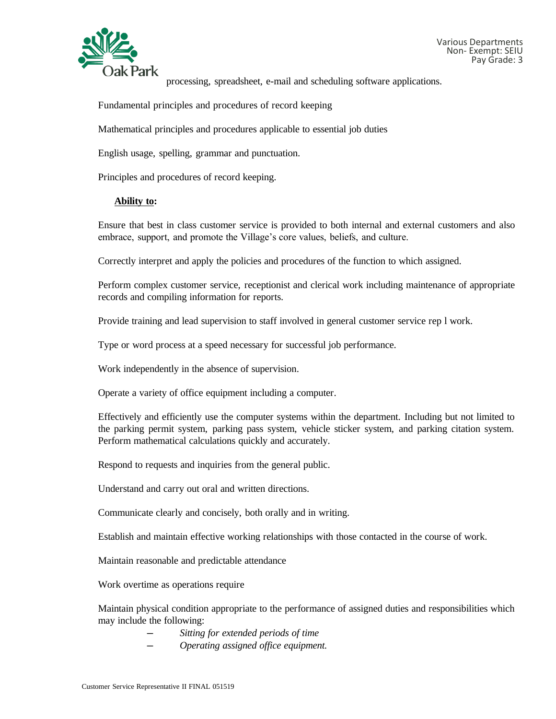

processing, spreadsheet, e-mail and scheduling software applications.

Fundamental principles and procedures of record keeping

Mathematical principles and procedures applicable to essential job duties

English usage, spelling, grammar and punctuation.

Principles and procedures of record keeping.

#### **Ability to:**

Ensure that best in class customer service is provided to both internal and external customers and also embrace, support, and promote the Village's core values, beliefs, and culture.

Correctly interpret and apply the policies and procedures of the function to which assigned.

Perform complex customer service, receptionist and clerical work including maintenance of appropriate records and compiling information for reports.

Provide training and lead supervision to staff involved in general customer service rep l work.

Type or word process at a speed necessary for successful job performance.

Work independently in the absence of supervision.

Operate a variety of office equipment including a computer.

Effectively and efficiently use the computer systems within the department. Including but not limited to the parking permit system, parking pass system, vehicle sticker system, and parking citation system. Perform mathematical calculations quickly and accurately.

Respond to requests and inquiries from the general public.

Understand and carry out oral and written directions.

Communicate clearly and concisely, both orally and in writing.

Establish and maintain effective working relationships with those contacted in the course of work.

Maintain reasonable and predictable attendance

Work overtime as operations require

Maintain physical condition appropriate to the performance of assigned duties and responsibilities which may include the following:

- *─ Sitting for extended periods of time*
- *─ Operating assigned office equipment.*